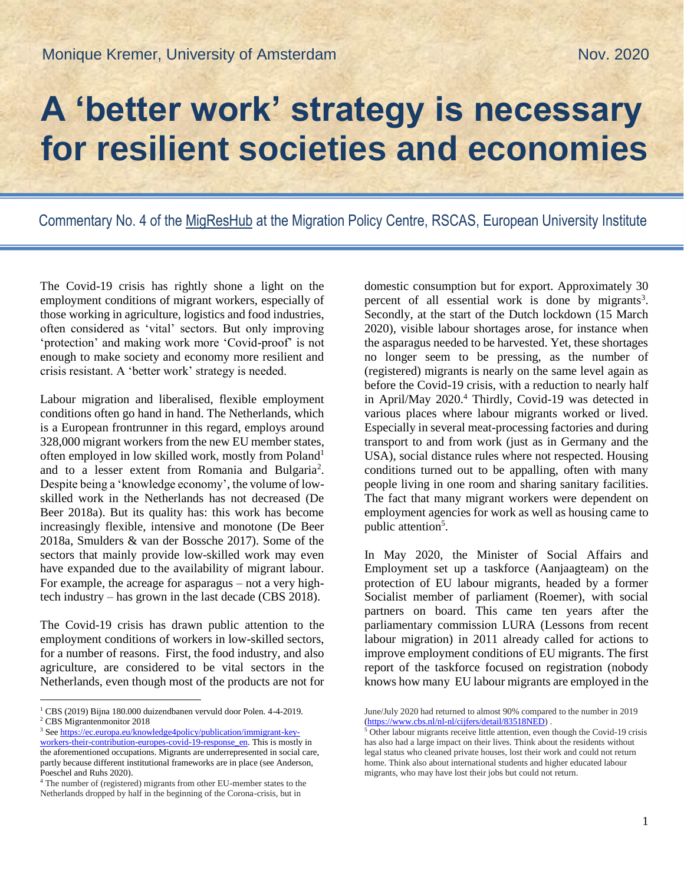## **A 'better work' strategy is necessary for resilient societies and economies**

Commentary No. 4 of the [MigResHub](https://migrationpolicycentre.eu/projects/migrants-resilience-global-covid19-research-policy-mig-res-hub/) at the Migration Policy Centre, RSCAS, European University Institute

The Covid-19 crisis has rightly shone a light on the employment conditions of migrant workers, especially of those working in agriculture, logistics and food industries, often considered as 'vital' sectors. But only improving 'protection' and making work more 'Covid-proof' is not enough to make society and economy more resilient and crisis resistant. A 'better work' strategy is needed.

Labour migration and liberalised, flexible employment conditions often go hand in hand. The Netherlands, which is a European frontrunner in this regard, employs around 328,000 migrant workers from the new EU member states, often employed in low skilled work, mostly from Poland<sup>1</sup> and to a lesser extent from Romania and Bulgaria<sup>2</sup>. Despite being a 'knowledge economy', the volume of lowskilled work in the Netherlands has not decreased (De Beer 2018a). But its quality has: this work has become increasingly flexible, intensive and monotone (De Beer 2018a, Smulders & van der Bossche 2017). Some of the sectors that mainly provide low-skilled work may even have expanded due to the availability of migrant labour. For example, the acreage for asparagus – not a very hightech industry – has grown in the last decade (CBS 2018).

The Covid-19 crisis has drawn public attention to the employment conditions of workers in low-skilled sectors, for a number of reasons. First, the food industry, and also agriculture, are considered to be vital sectors in the Netherlands, even though most of the products are not for

 $\overline{a}$ 

domestic consumption but for export. Approximately 30 percent of all essential work is done by migrants<sup>3</sup>. Secondly, at the start of the Dutch lockdown (15 March 2020), visible labour shortages arose, for instance when the asparagus needed to be harvested. Yet, these shortages no longer seem to be pressing, as the number of (registered) migrants is nearly on the same level again as before the Covid-19 crisis, with a reduction to nearly half in April/May 2020.<sup>4</sup> Thirdly, Covid-19 was detected in various places where labour migrants worked or lived. Especially in several meat-processing factories and during transport to and from work (just as in Germany and the USA), social distance rules where not respected. Housing conditions turned out to be appalling, often with many people living in one room and sharing sanitary facilities. The fact that many migrant workers were dependent on employment agencies for work as well as housing came to public attention<sup>5</sup>.

In May 2020, the Minister of Social Affairs and Employment set up a taskforce (Aanjaagteam) on the protection of EU labour migrants, headed by a former Socialist member of parliament (Roemer), with social partners on board. This came ten years after the parliamentary commission LURA (Lessons from recent labour migration) in 2011 already called for actions to improve employment conditions of EU migrants. The first report of the taskforce focused on registration (nobody knows how many EU labour migrants are employed in the

<sup>1</sup> CBS (2019) Bijna 180.000 duizendbanen vervuld door Polen. 4-4-2019. <sup>2</sup> CBS Migrantenmonitor 2018

<sup>&</sup>lt;sup>3</sup> Se[e https://ec.europa.eu/knowledge4policy/publication/immigrant-key-](https://ec.europa.eu/knowledge4policy/publication/immigrant-key-workers-their-contribution-europes-covid-19-response_en)

[workers-their-contribution-europes-covid-19-response\\_en.](https://ec.europa.eu/knowledge4policy/publication/immigrant-key-workers-their-contribution-europes-covid-19-response_en) This is mostly in the aforementioned occupations. Migrants are underrepresented in social care, partly because different institutional frameworks are in place (see Anderson, Poeschel and Ruhs 2020).

<sup>4</sup> The number of (registered) migrants from other EU-member states to the Netherlands dropped by half in the beginning of the Corona-crisis, but in

June/July 2020 had returned to almost 90% compared to the number in 2019 [\(https://www.cbs.nl/nl-nl/cijfers/detail/83518NED\)](https://www.cbs.nl/nl-nl/cijfers/detail/83518NED) .

<sup>&</sup>lt;sup>5</sup> Other labour migrants receive little attention, even though the Covid-19 crisis has also had a large impact on their lives. Think about the residents without legal status who cleaned private houses, lost their work and could not return home. Think also about international students and higher educated labour migrants, who may have lost their jobs but could not return.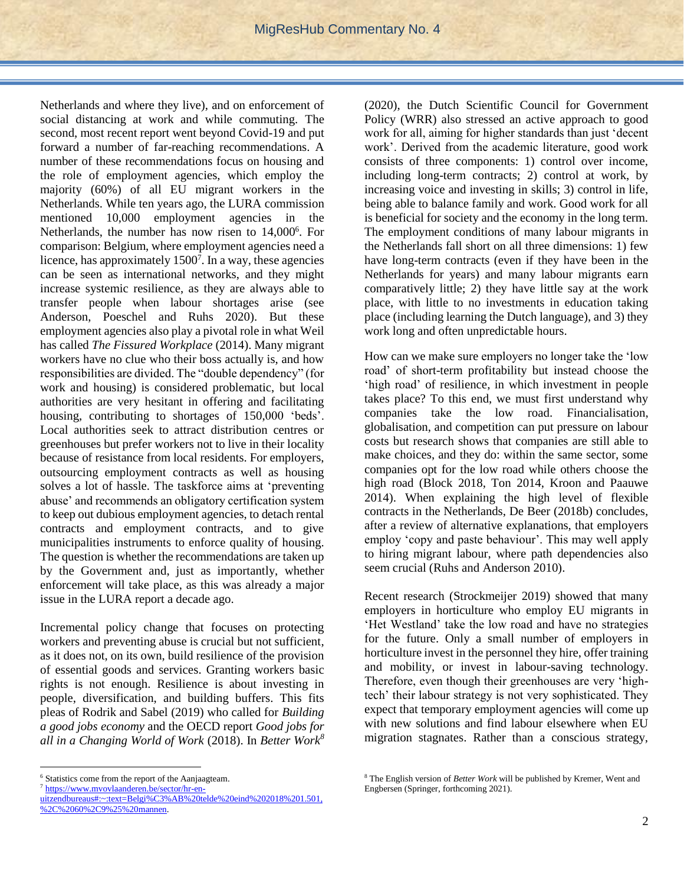Netherlands and where they live), and on enforcement of social distancing at work and while commuting. The second, most recent report went beyond Covid-19 and put forward a number of far-reaching recommendations. A number of these recommendations focus on housing and the role of employment agencies, which employ the majority (60%) of all EU migrant workers in the Netherlands. While ten years ago, the LURA commission mentioned 10,000 employment agencies in the Netherlands, the number has now risen to 14,000<sup>6</sup>. For comparison: Belgium, where employment agencies need a licence, has approximately  $1500^7$ . In a way, these agencies can be seen as international networks, and they might increase systemic resilience, as they are always able to transfer people when labour shortages arise (see Anderson, Poeschel and Ruhs 2020). But these employment agencies also play a pivotal role in what Weil has called *The Fissured Workplace* (2014). Many migrant workers have no clue who their boss actually is, and how responsibilities are divided. The "double dependency" (for work and housing) is considered problematic, but local authorities are very hesitant in offering and facilitating housing, contributing to shortages of 150,000 'beds'. Local authorities seek to attract distribution centres or greenhouses but prefer workers not to live in their locality because of resistance from local residents. For employers, outsourcing employment contracts as well as housing solves a lot of hassle. The taskforce aims at 'preventing abuse' and recommends an obligatory certification system to keep out dubious employment agencies, to detach rental contracts and employment contracts, and to give municipalities instruments to enforce quality of housing. The question is whether the recommendations are taken up by the Government and, just as importantly, whether enforcement will take place, as this was already a major issue in the LURA report a decade ago.

Incremental policy change that focuses on protecting workers and preventing abuse is crucial but not sufficient, as it does not, on its own, build resilience of the provision of essential goods and services. Granting workers basic rights is not enough. Resilience is about investing in people, diversification, and building buffers. This fits pleas of Rodrik and Sabel (2019) who called for *Building a good jobs economy* and the OECD report *Good jobs for all in a Changing World of Work* (2018). In *Better Work<sup>8</sup>*

 $\overline{a}$ 

(2020), the Dutch Scientific Council for Government Policy (WRR) also stressed an active approach to good work for all, aiming for higher standards than just 'decent work'. Derived from the academic literature, good work consists of three components: 1) control over income, including long-term contracts; 2) control at work, by increasing voice and investing in skills; 3) control in life, being able to balance family and work. Good work for all is beneficial for society and the economy in the long term. The employment conditions of many labour migrants in the Netherlands fall short on all three dimensions: 1) few have long-term contracts (even if they have been in the Netherlands for years) and many labour migrants earn comparatively little; 2) they have little say at the work place, with little to no investments in education taking place (including learning the Dutch language), and 3) they work long and often unpredictable hours.

How can we make sure employers no longer take the 'low road' of short-term profitability but instead choose the 'high road' of resilience, in which investment in people takes place? To this end, we must first understand why companies take the low road. Financialisation, globalisation, and competition can put pressure on labour costs but research shows that companies are still able to make choices, and they do: within the same sector, some companies opt for the low road while others choose the high road (Block 2018, Ton 2014, Kroon and Paauwe 2014). When explaining the high level of flexible contracts in the Netherlands, De Beer (2018b) concludes, after a review of alternative explanations, that employers employ 'copy and paste behaviour'. This may well apply to hiring migrant labour, where path dependencies also seem crucial (Ruhs and Anderson 2010).

Recent research (Strockmeijer 2019) showed that many employers in horticulture who employ EU migrants in 'Het Westland' take the low road and have no strategies for the future. Only a small number of employers in horticulture invest in the personnel they hire, offer training and mobility, or invest in labour-saving technology. Therefore, even though their greenhouses are very 'hightech' their labour strategy is not very sophisticated. They expect that temporary employment agencies will come up with new solutions and find labour elsewhere when EU migration stagnates. Rather than a conscious strategy,

<sup>6</sup> Statistics come from the report of the Aanjaagteam.

<sup>7</sup> [https://www.mvovlaanderen.be/sector/hr-en-](https://www.mvovlaanderen.be/sector/hr-en-uitzendbureaus#:~:text=Belgi%C3%AB%20telde%20eind%202018%201.501,%2C%2060%2C9%25%20mannen)

[uitzendbureaus#:~:text=Belgi%C3%AB%20telde%20eind%202018%201.501,](https://www.mvovlaanderen.be/sector/hr-en-uitzendbureaus#:~:text=Belgi%C3%AB%20telde%20eind%202018%201.501,%2C%2060%2C9%25%20mannen) [%2C%2060%2C9%25%20mannen.](https://www.mvovlaanderen.be/sector/hr-en-uitzendbureaus#:~:text=Belgi%C3%AB%20telde%20eind%202018%201.501,%2C%2060%2C9%25%20mannen)

<sup>8</sup> The English version of *Better Work* will be published by Kremer, Went and Engbersen (Springer, forthcoming 2021).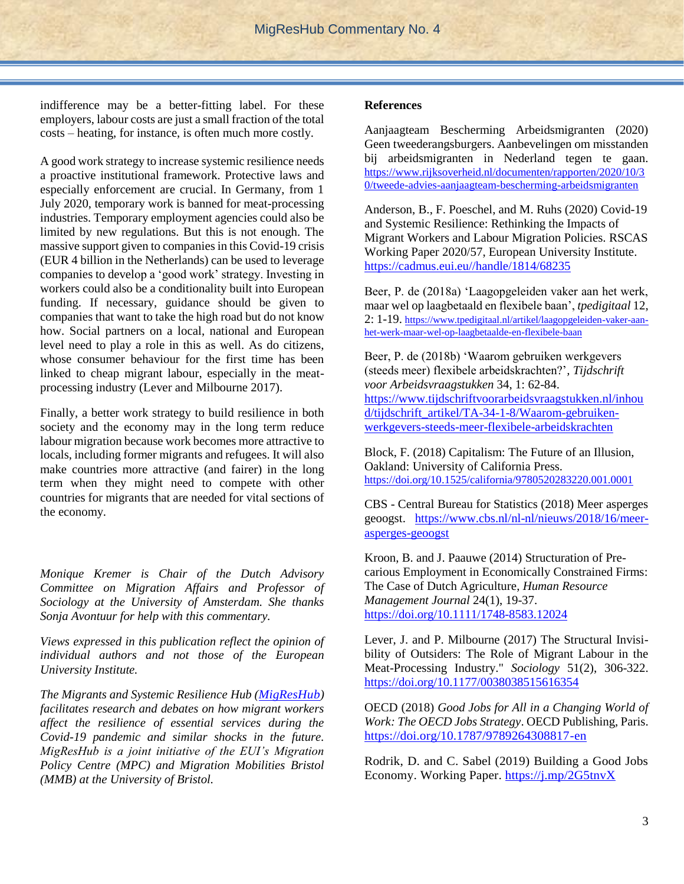indifference may be a better-fitting label. For these employers, labour costs are just a small fraction of the total costs – heating, for instance, is often much more costly.

A good work strategy to increase systemic resilience needs a proactive institutional framework. Protective laws and especially enforcement are crucial. In Germany, from 1 July 2020, temporary work is banned for meat-processing industries. Temporary employment agencies could also be limited by new regulations. But this is not enough. The massive support given to companies in this Covid-19 crisis (EUR 4 billion in the Netherlands) can be used to leverage companies to develop a 'good work' strategy. Investing in workers could also be a conditionality built into European funding. If necessary, guidance should be given to companies that want to take the high road but do not know how. Social partners on a local, national and European level need to play a role in this as well. As do citizens, whose consumer behaviour for the first time has been linked to cheap migrant labour, especially in the meatprocessing industry (Lever and Milbourne 2017).

Finally, a better work strategy to build resilience in both society and the economy may in the long term reduce labour migration because work becomes more attractive to locals, including former migrants and refugees. It will also make countries more attractive (and fairer) in the long term when they might need to compete with other countries for migrants that are needed for vital sections of the economy.

*Monique Kremer is Chair of the Dutch Advisory Committee on Migration Affairs and Professor of Sociology at the University of Amsterdam. She thanks Sonja Avontuur for help with this commentary.*

*Views expressed in this publication reflect the opinion of individual authors and not those of the European University Institute.*

*The Migrants and Systemic Resilience Hub [\(MigResHub\)](https://migrationpolicycentre.eu/projects/migrants-resilience-global-covid19-research-policy-mig-res-hub/) facilitates research and debates on how migrant workers affect the resilience of essential services during the Covid-19 pandemic and similar shocks in the future. MigResHub is a joint initiative of the EUI's Migration Policy Centre (MPC) and Migration Mobilities Bristol (MMB) at the University of Bristol.*

## **References**

Aanjaagteam Bescherming Arbeidsmigranten (2020) Geen tweederangsburgers. Aanbevelingen om misstanden bij arbeidsmigranten in Nederland tegen te gaan. [https://www.rijksoverheid.nl/documenten/rapporten/2020/10/3](https://www.rijksoverheid.nl/documenten/rapporten/2020/10/30/tweede-advies-aanjaagteam-bescherming-arbeidsmigranten) [0/tweede-advies-aanjaagteam-bescherming-arbeidsmigranten](https://www.rijksoverheid.nl/documenten/rapporten/2020/10/30/tweede-advies-aanjaagteam-bescherming-arbeidsmigranten)

Anderson, B., F. Poeschel, and M. Ruhs (2020) Covid-19 and Systemic Resilience: Rethinking the Impacts of Migrant Workers and Labour Migration Policies. RSCAS Working Paper 2020/57, European University Institute. [https://cadmus.eui.eu//handle/1814/68235](https://cadmus.eui.eu/handle/1814/68235)

Beer, P. de (2018a) 'Laagopgeleiden vaker aan het werk, maar wel op laagbetaald en flexibele baan', *tpedigitaal* 12, 2: 1-19. [https://www.tpedigitaal.nl/artikel/laagopgeleiden-vaker-aan](https://www.tpedigitaal.nl/artikel/laagopgeleiden-vaker-aan-het-werk-maar-wel-op-laagbetaalde-en-flexibele-baan)[het-werk-maar-wel-op-laagbetaalde-en-flexibele-baan](https://www.tpedigitaal.nl/artikel/laagopgeleiden-vaker-aan-het-werk-maar-wel-op-laagbetaalde-en-flexibele-baan)

Beer, P. de (2018b) 'Waarom gebruiken werkgevers (steeds meer) flexibele arbeidskrachten?'*, Tijdschrift voor Arbeidsvraagstukken* 34, 1: 62-84. [https://www.tijdschriftvoorarbeidsvraagstukken.nl/inhou](https://www.tijdschriftvoorarbeidsvraagstukken.nl/inhoud/tijdschrift_artikel/TA-34-1-8/Waarom-gebruiken-werkgevers-steeds-meer-flexibele-arbeidskrachten) [d/tijdschrift\\_artikel/TA-34-1-8/Waarom-gebruiken](https://www.tijdschriftvoorarbeidsvraagstukken.nl/inhoud/tijdschrift_artikel/TA-34-1-8/Waarom-gebruiken-werkgevers-steeds-meer-flexibele-arbeidskrachten)[werkgevers-steeds-meer-flexibele-arbeidskrachten](https://www.tijdschriftvoorarbeidsvraagstukken.nl/inhoud/tijdschrift_artikel/TA-34-1-8/Waarom-gebruiken-werkgevers-steeds-meer-flexibele-arbeidskrachten) 

Block, F. (2018) Capitalism: The Future of an Illusion, Oakland: University of California Press. <https://doi.org/10.1525/california/9780520283220.001.0001>

CBS - Central Bureau for Statistics (2018) Meer asperges geoogst. [https://www.cbs.nl/nl-nl/nieuws/2018/16/meer](https://www.cbs.nl/nl-nl/nieuws/2018/16/meer-asperges-geoogst)[asperges-geoogst](https://www.cbs.nl/nl-nl/nieuws/2018/16/meer-asperges-geoogst)

Kroon, B. and J. Paauwe (2014) Structuration of Precarious Employment in Economically Constrained Firms: The Case of Dutch Agriculture, *Human Resource Management Journal* 24(1), 19-37. <https://doi.org/10.1111/1748-8583.12024>

Lever, J. and P. Milbourne (2017) The Structural Invisibility of Outsiders: The Role of Migrant Labour in the Meat-Processing Industry." *Sociology* 51(2), 306-322. <https://doi.org/10.1177/0038038515616354>

OECD (2018) *Good Jobs for All in a Changing World of Work: The OECD Jobs Strategy*. OECD Publishing, Paris. <https://doi.org/10.1787/9789264308817-en>

Rodrik, D. and C. Sabel (2019) Building a Good Jobs Economy. Working Paper.<https://j.mp/2G5tnvX>